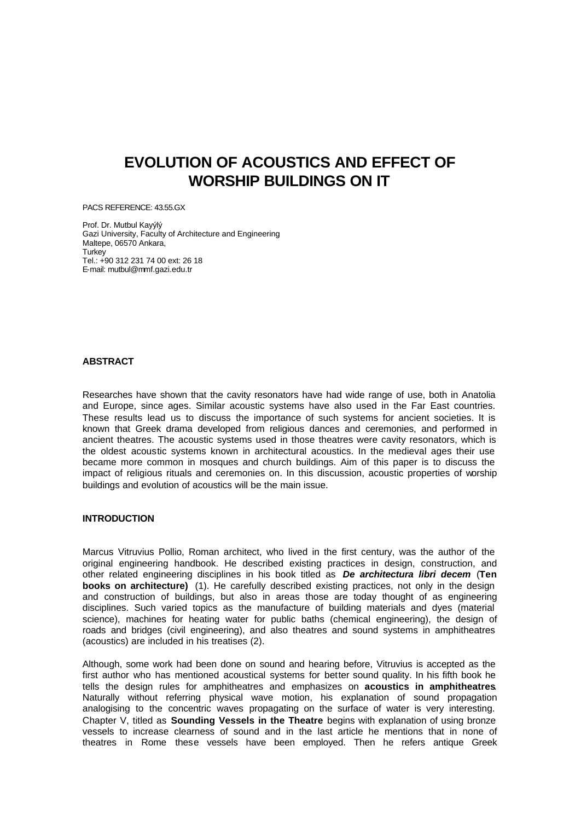# **EVOLUTION OF ACOUSTICS AND EFFECT OF WORSHIP BUILDINGS ON IT**

PACS REFERENCE: 43.55.GX

Prof. Dr. Mutbul Kayýlý Gazi University, Faculty of Architecture and Engineering Maltepe, 06570 Ankara, Turkey Tel.: +90 312 231 74 00 ext: 26 18 E-mail: mutbul@mmf.gazi.edu.tr

#### **ABSTRACT**

Researches have shown that the cavity resonators have had wide range of use, both in Anatolia and Europe, since ages. Similar acoustic systems have also used in the Far East countries. These results lead us to discuss the importance of such systems for ancient societies. It is known that Greek drama developed from religious dances and ceremonies, and performed in ancient theatres. The acoustic systems used in those theatres were cavity resonators, which is the oldest acoustic systems known in architectural acoustics. In the medieval ages their use became more common in mosques and church buildings. Aim of this paper is to discuss the impact of religious rituals and ceremonies on. In this discussion, acoustic properties of worship buildings and evolution of acoustics will be the main issue.

## **INTRODUCTION**

Marcus Vitruvius Pollio, Roman architect, who lived in the first century, was the author of the original engineering handbook. He described existing practices in design, construction, and other related engineering disciplines in his book titled as *De architectura libri decem* (**Ten books on architecture)** (1). He carefully described existing practices, not only in the design and construction of buildings, but also in areas those are today thought of as engineering disciplines. Such varied topics as the manufacture of building materials and dyes (material science), machines for heating water for public baths (chemical engineering), the design of roads and bridges (civil engineering), and also theatres and sound systems in amphitheatres (acoustics) are included in his treatises (2).

Although, some work had been done on sound and hearing before, Vitruvius is accepted as the first author who has mentioned acoustical systems for better sound quality. In his fifth book he tells the design rules for amphitheatres and emphasizes on **acoustics in amphitheatres**. Naturally without referring physical wave motion, his explanation of sound propagation analogising to the concentric waves propagating on the surface of water is very interesting. Chapter V, titled as **Sounding Vessels in the Theatre** begins with explanation of using bronze vessels to increase clearness of sound and in the last article he mentions that in none of theatres in Rome these vessels have been employed. Then he refers antique Greek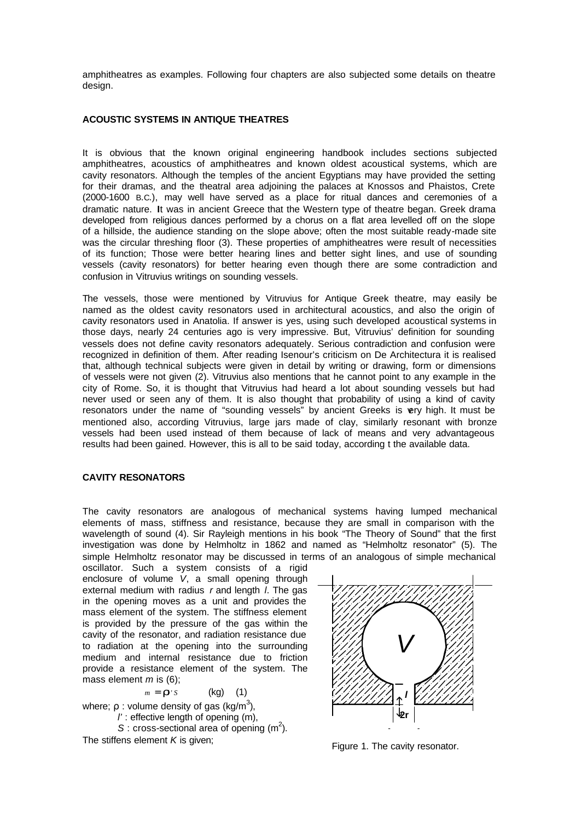amphitheatres as examples. Following four chapters are also subjected some details on theatre design.

## **ACOUSTIC SYSTEMS IN ANTIQUE THEATRES**

It is obvious that the known original engineering handbook includes sections subjected amphitheatres, acoustics of amphitheatres and known oldest acoustical systems, which are cavity resonators. Although the temples of the ancient Egyptians may have provided the setting for their dramas, and the theatral area adjoining the palaces at Knossos and Phaistos, Crete (2000-1600 B.C.), may well have served as a place for ritual dances and ceremonies of a dramatic nature. **I**t was in ancient Greece that the Western type of theatre began. Greek drama developed from religious dances performed by a chorus on a flat area levelled off on the slope of a hillside, the audience standing on the slope above; often the most suitable ready-made site was the circular threshing floor (3). These properties of amphitheatres were result of necessities of its function; Those were better hearing lines and better sight lines, and use of sounding vessels (cavity resonators) for better hearing even though there are some contradiction and confusion in Vitruvius writings on sounding vessels.

The vessels, those were mentioned by Vitruvius for Antique Greek theatre, may easily be named as the oldest cavity resonators used in architectural acoustics, and also the origin of cavity resonators used in Anatolia. If answer is yes, using such developed acoustical systems in those days, nearly 24 centuries ago is very impressive. But, Vitruvius' definition for sounding vessels does not define cavity resonators adequately. Serious contradiction and confusion were recognized in definition of them. After reading Isenour's criticism on De Architectura it is realised that, although technical subjects were given in detail by writing or drawing, form or dimensions of vessels were not given (2). Vitruvius also mentions that he cannot point to any example in the city of Rome. So, it is thought that Vitruvius had heard a lot about sounding vessels but had never used or seen any of them. It is also thought that probability of using a kind of cavity resonators under the name of "sounding vessels" by ancient Greeks is very high. It must be mentioned also, according Vitruvius, large jars made of clay, similarly resonant with bronze vessels had been used instead of them because of lack of means and very advantageous results had been gained. However, this is all to be said today, according t the available data.

## **CAVITY RESONATORS**

The cavity resonators are analogous of mechanical systems having lumped mechanical elements of mass, stiffness and resistance, because they are small in comparison with the wavelength of sound (4). Sir Rayleigh mentions in his book "The Theory of Sound" that the first investigation was done by Helmholtz in 1862 and named as "Helmholtz resonator" (5). The simple Helmholtz resonator may be discussed in terms of an analogous of simple mechanical

oscillator. Such a system consists of a rigid enclosure of volume *V*, a small opening through external medium with radius *r* and length *l*. The gas in the opening moves as a unit and provides the mass element of the system. The stiffness element is provided by the pressure of the gas within the cavity of the resonator, and radiation resistance due to radiation at the opening into the surrounding medium and internal resistance due to friction provide a resistance element of the system. The mass element *m* is (6);

$$
m = \mathbf{r} \cdot s \qquad (\text{kg}) \qquad (1)
$$

where;  $ρ$  : volume density of gas (kg/m<sup>3</sup>), *l'* : effective length of opening (m),  $S:$  cross-sectional area of opening  $(m<sup>2</sup>)$ .

The stiffens element *K* is given;



Figure 1. The cavity resonator.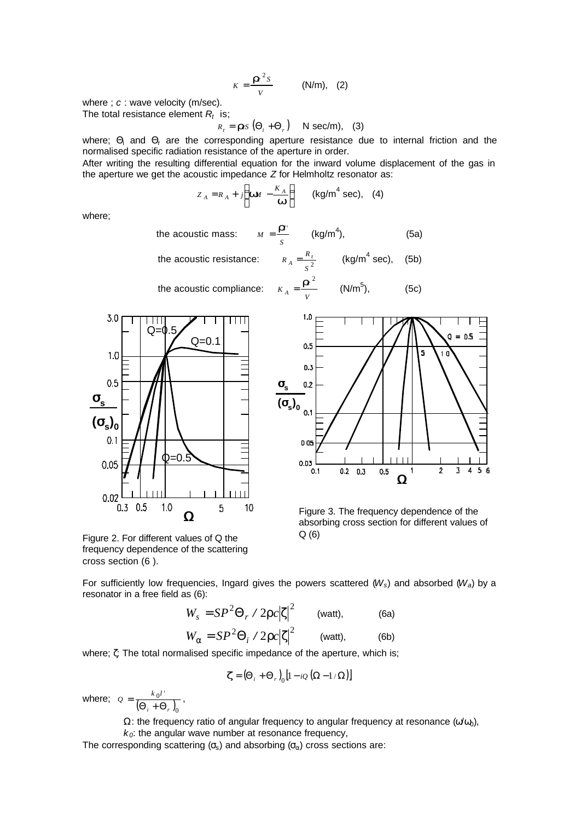$$
K = \frac{I\hbar^2 S}{V} \qquad (N/m), \quad (2)
$$

where ; *c* : wave velocity (m/sec). The total resistance element *R<sup>t</sup>* is;

 $R_{t} = \textbf{r}$ *cs*  $(\Theta_{i} + \Theta_{r})$  N sec/m), (3)

where;  $\Theta_i$  and  $\Theta_r$  are the corresponding aperture resistance due to internal friction and the normalised specific radiation resistance of the aperture in order.

After writing the resulting differential equation for the inward volume displacement of the gas in the aperture we get the acoustic impedance *Z* for Helmholtz resonator as:

$$
Z_A = R_A + j \left( \mathbf{W} \mathbf{U} - \frac{K_A}{\mathbf{W}} \right) \qquad \text{(kg/m}^4 \text{ sec)}, \quad \text{(4)}
$$

where;

the acoustic mass: *S*  $M = \frac{I T^{1}}{2}$  (kg/m<sup>4</sup>), (5a) the acoustic resistance: *S*  $R_A = \frac{R_t}{2}$  (kg/m<sup>4</sup> sec), (5b)







 $(5c)$ 

Figure 3. The frequency dependence of the absorbing cross section for different values of Q (6)

Figure 2. For different values of Q the frequency dependence of the scattering cross section (6 ).

For sufficiently low frequencies, Ingard gives the powers scattered (*Ws*) and absorbed (*Wa*) by a resonator in a free field as (6):

$$
W_s = SP^2 \Theta_r / 2\rho c |\zeta|^2 \qquad \text{(watt)}, \qquad \text{(6a)}
$$
  

$$
W_\alpha = SP^2 \Theta_i / 2\rho c |\zeta|^2 \qquad \text{(watt)}, \qquad \text{(6b)}
$$

where; ζ: The total normalised specific impedance of the aperture, which is;

$$
\boldsymbol{Z} = \left(\boldsymbol{\Theta}_i + \boldsymbol{\Theta}_r\right)_0 \left[1 - i Q \left(\boldsymbol{\Omega} - 1/\boldsymbol{\Omega}\right)\right]
$$

where;  $Q = \frac{k_0 l^2}{\left(\Theta_i + \Theta_r\right)_0}$ *i r*  $Q = \frac{k_0 l^4}{\left(\Theta_i + \Theta_r\right)_0},$ 

 $Ω$ : the frequency ratio of angular frequency to angular frequency at resonance (ω/ω),

 $k<sub>0</sub>$ : the angular wave number at resonance frequency,

The corresponding scattering ( $\sigma_s$ ) and absorbing ( $\sigma_\alpha$ ) cross sections are: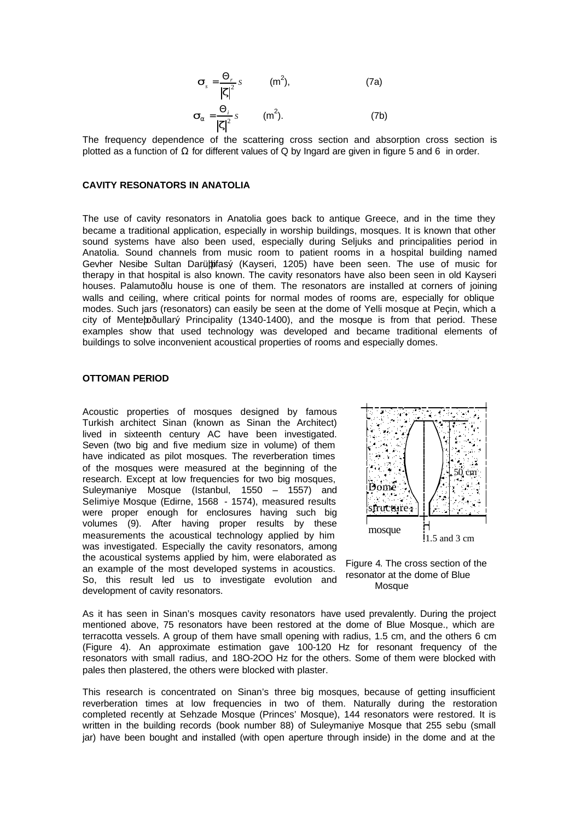$$
\mathbf{s}_{s} = \frac{\Theta_{r}}{|\mathbf{z}|^{2}} s \qquad (m^{2}), \qquad (7a)
$$

$$
\vec{\mathbf{s}}_{\mathbf{a}} = \frac{\Theta_i}{|\mathbf{z}|^2} s \qquad (m^2). \tag{7b}
$$

The frequency dependence of the scattering cross section and absorption cross section is plotted as a function of  $Ω$  for different values of  $Q$  by Ingard are given in figure  $5$  and  $6$  in order.

### **CAVITY RESONATORS IN ANATOLIA**

*sa*

The use of cavity resonators in Anatolia goes back to antique Greece, and in the time they became a traditional application, especially in worship buildings, mosques. It is known that other sound systems have also been used, especially during Seljuks and principalities period in Anatolia. Sound channels from music room to patient rooms in a hospital building named Gevher Nesibe Sultan Darüþþifasý (Kayseri, 1205) have been seen. The use of music for therapy in that hospital is also known. The cavity resonators have also been seen in old Kayseri houses. Palamutoðlu house is one of them. The resonators are installed at corners of joining walls and ceiling, where critical points for normal modes of rooms are, especially for oblique modes. Such jars (resonators) can easily be seen at the dome of Yelli mosque at Peçin, which a city of Menteþoðullarý Principality (1340-1400), and the mosque is from that period. These examples show that used technology was developed and became traditional elements of buildings to solve inconvenient acoustical properties of rooms and especially domes.

## **OTTOMAN PERIOD**

Acoustic properties of mosques designed by famous Turkish architect Sinan (known as Sinan the Architect) lived in sixteenth century AC have been investigated. Seven (two big and five medium size in volume) of them have indicated as pilot mosques. The reverberation times of the mosques were measured at the beginning of the research. Except at low frequencies for two big mosques, Suleymaniye Mosque (Istanbul, 1550 – 1557) and Selimiye Mosque (Edirne, 1568 - 1574), measured results were proper enough for enclosures having such big volumes (9). After having proper results by these measurements the acoustical technology applied by him was investigated. Especially the cavity resonators, among the acoustical systems applied by him, were elaborated as an example of the most developed systems in acoustics. So, this result led us to investigate evolution and development of cavity resonators.



Figure 4. The cross section of the resonator at the dome of Blue Mosque

As it has seen in Sinan's mosques cavity resonators have used prevalently. During the project mentioned above, 75 resonators have been restored at the dome of Blue Mosque., which are terracotta vessels. A group of them have small opening with radius, 1.5 cm, and the others 6 cm (Figure 4). An approximate estimation gave 100-120 Hz for resonant frequency of the resonators with small radius, and 18O-2OO Hz for the others. Some of them were blocked with pales then plastered, the others were blocked with plaster.

This research is concentrated on Sinan's three big mosques, because of getting insufficient reverberation times at low frequencies in two of them. Naturally during the restoration completed recently at Sehzade Mosque (Princes' Mosque), 144 resonators were restored. It is written in the building records (book number 88) of Suleymaniye Mosque that 255 sebu (small jar) have been bought and installed (with open aperture through inside) in the dome and at the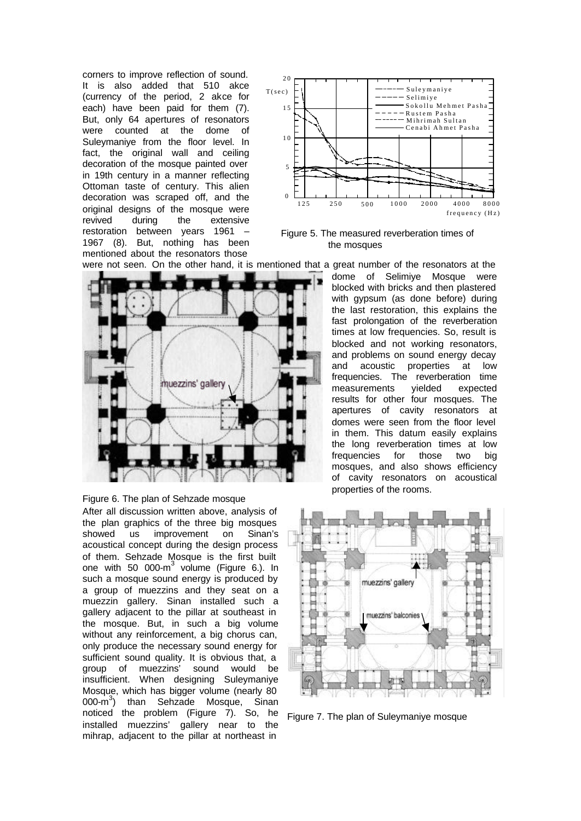corners to improve reflection of sound. It is also added that 510 akce (currency of the period, 2 akce for each) have been paid for them (7). But, only 64 apertures of resonators were counted at the dome of Suleymaniye from the floor level. In fact, the original wall and ceiling decoration of the mosque painted over in 19th century in a manner reflecting Ottoman taste of century. This alien decoration was scraped off, and the original designs of the mosque were revived during the extensive restoration between years 1961 – 1967 (8). But, nothing has been mentioned about the resonators those



 Figure 5. The measured reverberation times of the mosques





After all discussion written above, analysis of the plan graphics of the three big mosques showed us improvement on Sinan's acoustical concept during the design process of them. Sehzade Mosque is the first built one with 50 000- $m^3$  volume (Figure 6.). In such a mosque sound energy is produced by a group of muezzins and they seat on a muezzin gallery. Sinan installed such a gallery adjacent to the pillar at southeast in the mosque. But, in such a big volume without any reinforcement, a big chorus can, only produce the necessary sound energy for sufficient sound quality. It is obvious that, a group of muezzins' sound would be insufficient. When designing Suleymaniye Mosque, which has bigger volume (nearly 80  $(0.000 \cdot m^3)$  than Sehzade Mosque, Sinan noticed the problem (Figure 7). So, he installed muezzins' gallery near to the mihrap, adjacent to the pillar at northeast in

dome of Selimiye Mosque were blocked with bricks and then plastered with gypsum (as done before) during the last restoration, this explains the fast prolongation of the reverberation times at low frequencies. So, result is blocked and not working resonators, and problems on sound energy decay and acoustic properties at low frequencies. The reverberation time measurements yielded expected results for other four mosques. The apertures of cavity resonators at domes were seen from the floor level in them. This datum easily explains the long reverberation times at low frequencies for those two big mosques, and also shows efficiency of cavity resonators on acoustical properties of the rooms.



Figure 7. The plan of Suleymaniye mosque